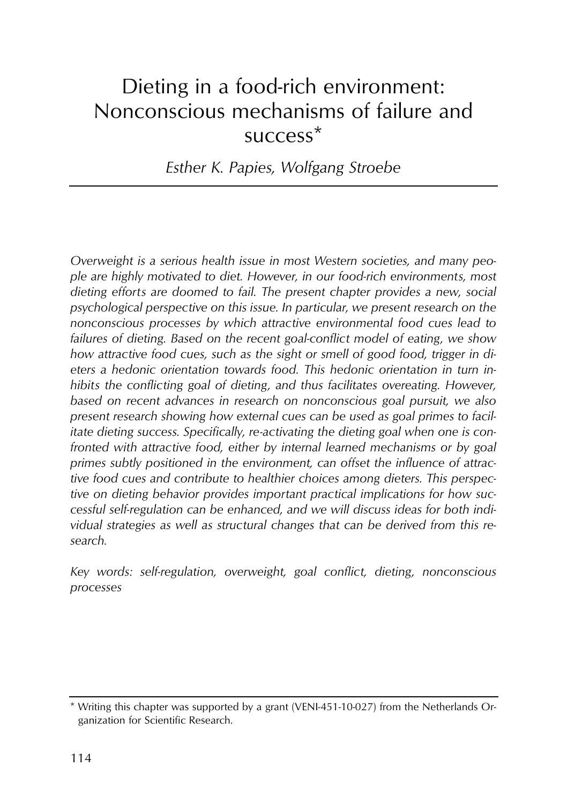# Dieting in a food-rich environment: Nonconscious mechanisms of failure and success\*

*Esther K. Papies, Wolfgang Stroebe* 

*Overweight is a serious health issue in most Western societies, and many people are highly motivated to diet. However, in our food-rich environments, most dieting efforts are doomed to fail. The present chapter provides a new, social psychological perspective on this issue. In particular, we present research on the nonconscious processes by which attractive environmental food cues lead to failures of dieting. Based on the recent goal-conflict model of eating, we show how attractive food cues, such as the sight or smell of good food, trigger in dieters a hedonic orientation towards food. This hedonic orientation in turn inhibits the conflicting goal of dieting, and thus facilitates overeating. However, based on recent advances in research on nonconscious goal pursuit, we also present research showing how external cues can be used as goal primes to facilitate dieting success. Specifically, re-activating the dieting goal when one is confronted with attractive food, either by internal learned mechanisms or by goal primes subtly positioned in the environment, can offset the influence of attractive food cues and contribute to healthier choices among dieters. This perspective on dieting behavior provides important practical implications for how successful self-regulation can be enhanced, and we will discuss ideas for both individual strategies as well as structural changes that can be derived from this research.* 

*Key words: self-regulation, overweight, goal conflict, dieting, nonconscious processes* 

<sup>\*</sup> Writing this chapter was supported by a grant (VENI-451-10-027) from the Netherlands Organization for Scientific Research.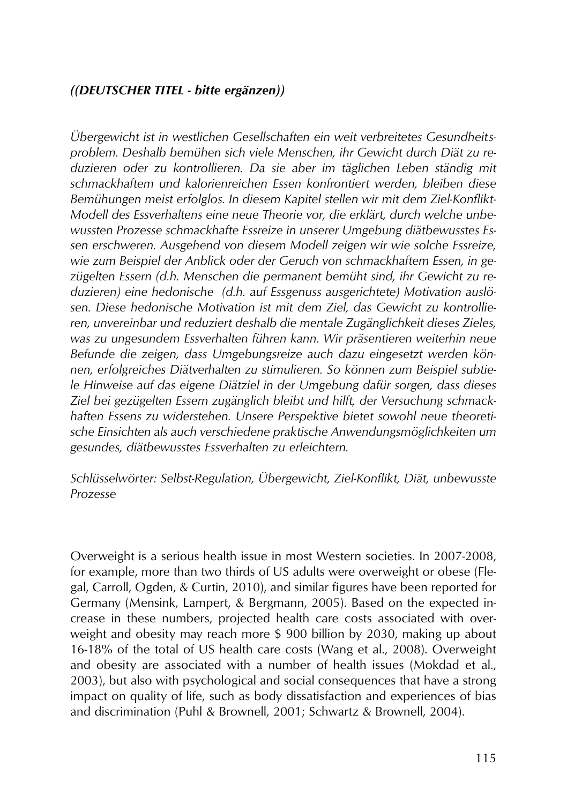#### *((DEUTSCHER TITEL - bitte ergänzen))*

*Übergewicht ist in westlichen Gesellschaften ein weit verbreitetes Gesundheitsproblem. Deshalb bemühen sich viele Menschen, ihr Gewicht durch Diät zu reduzieren oder zu kontrollieren. Da sie aber im täglichen Leben ständig mit schmackhaftem und kalorienreichen Essen konfrontiert werden, bleiben diese Bemühungen meist erfolglos. In diesem Kapitel stellen wir mit dem Ziel-Konflikt-Modell des Essverhaltens eine neue Theorie vor, die erklärt, durch welche unbewussten Prozesse schmackhafte Essreize in unserer Umgebung diätbewusstes Essen erschweren. Ausgehend von diesem Modell zeigen wir wie solche Essreize, wie zum Beispiel der Anblick oder der Geruch von schmackhaftem Essen, in gezügelten Essern (d.h. Menschen die permanent bemüht sind, ihr Gewicht zu reduzieren) eine hedonische (d.h. auf Essgenuss ausgerichtete) Motivation auslösen. Diese hedonische Motivation ist mit dem Ziel, das Gewicht zu kontrollieren, unvereinbar und reduziert deshalb die mentale Zugänglichkeit dieses Zieles, was zu ungesundem Essverhalten führen kann. Wir präsentieren weiterhin neue Befunde die zeigen, dass Umgebungsreize auch dazu eingesetzt werden können, erfolgreiches Diätverhalten zu stimulieren. So können zum Beispiel subtiele Hinweise auf das eigene Diätziel in der Umgebung dafür sorgen, dass dieses Ziel bei gezügelten Essern zugänglich bleibt und hilft, der Versuchung schmackhaften Essens zu widerstehen. Unsere Perspektive bietet sowohl neue theoretische Einsichten als auch verschiedene praktische Anwendungsmöglichkeiten um gesundes, diätbewusstes Essverhalten zu erleichtern.* 

#### *Schlüsselwörter: Selbst-Regulation, Übergewicht, Ziel-Konflikt, Diät, unbewusste Prozesse*

Overweight is a serious health issue in most Western societies. In 2007-2008, for example, more than two thirds of US adults were overweight or obese (Flegal, Carroll, Ogden, & Curtin, 2010), and similar figures have been reported for Germany (Mensink, Lampert, & Bergmann, 2005). Based on the expected increase in these numbers, projected health care costs associated with overweight and obesity may reach more \$ 900 billion by 2030, making up about 16-18% of the total of US health care costs (Wang et al., 2008). Overweight and obesity are associated with a number of health issues (Mokdad et al., 2003), but also with psychological and social consequences that have a strong impact on quality of life, such as body dissatisfaction and experiences of bias and discrimination (Puhl & Brownell, 2001; Schwartz & Brownell, 2004).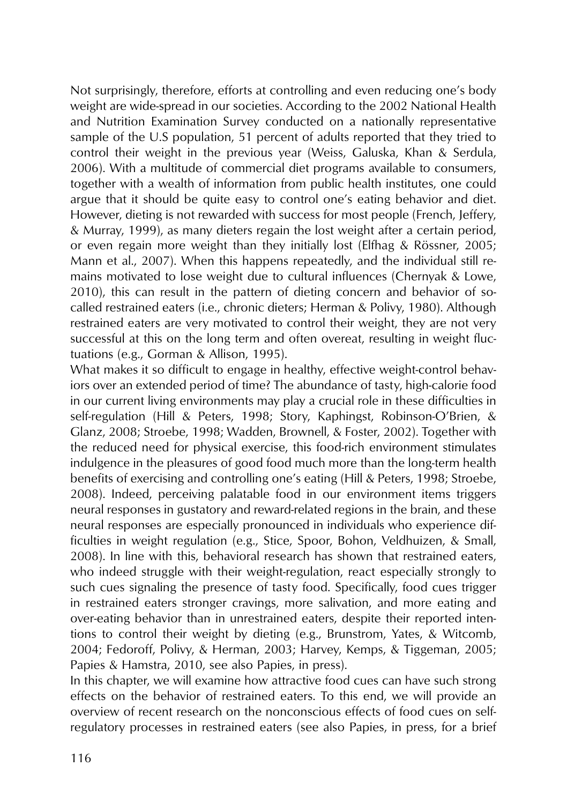Not surprisingly, therefore, efforts at controlling and even reducing one's body weight are wide-spread in our societies. According to the 2002 National Health and Nutrition Examination Survey conducted on a nationally representative sample of the U.S population, 51 percent of adults reported that they tried to control their weight in the previous year (Weiss, Galuska, Khan & Serdula, 2006). With a multitude of commercial diet programs available to consumers, together with a wealth of information from public health institutes, one could argue that it should be quite easy to control one's eating behavior and diet. However, dieting is not rewarded with success for most people (French, Jeffery, & Murray, 1999), as many dieters regain the lost weight after a certain period, or even regain more weight than they initially lost (Elfhag & Rössner, 2005; Mann et al., 2007). When this happens repeatedly, and the individual still remains motivated to lose weight due to cultural influences (Chernyak & Lowe, 2010), this can result in the pattern of dieting concern and behavior of socalled restrained eaters (i.e., chronic dieters; Herman & Polivy, 1980). Although restrained eaters are very motivated to control their weight, they are not very successful at this on the long term and often overeat, resulting in weight fluctuations (e.g., Gorman & Allison, 1995).

What makes it so difficult to engage in healthy, effective weight-control behaviors over an extended period of time? The abundance of tasty, high-calorie food in our current living environments may play a crucial role in these difficulties in self-regulation (Hill & Peters, 1998; Story, Kaphingst, Robinson-O'Brien, & Glanz, 2008; Stroebe, 1998; Wadden, Brownell, & Foster, 2002). Together with the reduced need for physical exercise, this food-rich environment stimulates indulgence in the pleasures of good food much more than the long-term health benefits of exercising and controlling one's eating (Hill & Peters, 1998; Stroebe, 2008). Indeed, perceiving palatable food in our environment items triggers neural responses in gustatory and reward-related regions in the brain, and these neural responses are especially pronounced in individuals who experience difficulties in weight regulation (e.g., Stice, Spoor, Bohon, Veldhuizen, & Small, 2008). In line with this, behavioral research has shown that restrained eaters, who indeed struggle with their weight-regulation, react especially strongly to such cues signaling the presence of tasty food. Specifically, food cues trigger in restrained eaters stronger cravings, more salivation, and more eating and over-eating behavior than in unrestrained eaters, despite their reported intentions to control their weight by dieting (e.g., Brunstrom, Yates, & Witcomb, 2004; Fedoroff, Polivy, & Herman, 2003; Harvey, Kemps, & Tiggeman, 2005; Papies & Hamstra, 2010, see also Papies, in press).

In this chapter, we will examine how attractive food cues can have such strong effects on the behavior of restrained eaters. To this end, we will provide an overview of recent research on the nonconscious effects of food cues on selfregulatory processes in restrained eaters (see also Papies, in press, for a brief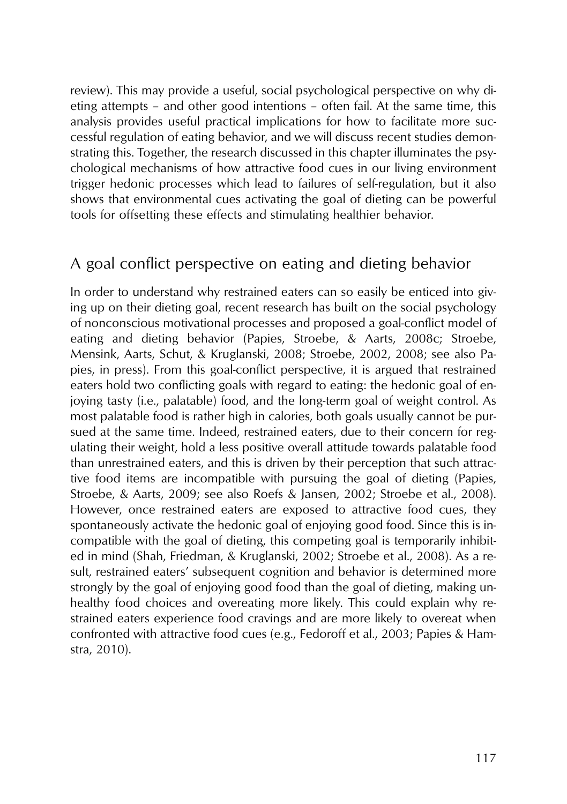review). This may provide a useful, social psychological perspective on why dieting attempts – and other good intentions – often fail. At the same time, this analysis provides useful practical implications for how to facilitate more successful regulation of eating behavior, and we will discuss recent studies demonstrating this. Together, the research discussed in this chapter illuminates the psychological mechanisms of how attractive food cues in our living environment trigger hedonic processes which lead to failures of self-regulation, but it also shows that environmental cues activating the goal of dieting can be powerful tools for offsetting these effects and stimulating healthier behavior.

## A goal conflict perspective on eating and dieting behavior

In order to understand why restrained eaters can so easily be enticed into giving up on their dieting goal, recent research has built on the social psychology of nonconscious motivational processes and proposed a goal-conflict model of eating and dieting behavior (Papies, Stroebe, & Aarts, 2008c; Stroebe, Mensink, Aarts, Schut, & Kruglanski, 2008; Stroebe, 2002, 2008; see also Papies, in press). From this goal-conflict perspective, it is argued that restrained eaters hold two conflicting goals with regard to eating: the hedonic goal of enjoying tasty (i.e., palatable) food, and the long-term goal of weight control. As most palatable food is rather high in calories, both goals usually cannot be pursued at the same time. Indeed, restrained eaters, due to their concern for regulating their weight, hold a less positive overall attitude towards palatable food than unrestrained eaters, and this is driven by their perception that such attractive food items are incompatible with pursuing the goal of dieting (Papies, Stroebe, & Aarts, 2009; see also Roefs & Jansen, 2002; Stroebe et al., 2008). However, once restrained eaters are exposed to attractive food cues, they spontaneously activate the hedonic goal of enjoying good food. Since this is incompatible with the goal of dieting, this competing goal is temporarily inhibited in mind (Shah, Friedman, & Kruglanski, 2002; Stroebe et al., 2008). As a result, restrained eaters' subsequent cognition and behavior is determined more strongly by the goal of enjoying good food than the goal of dieting, making unhealthy food choices and overeating more likely. This could explain why restrained eaters experience food cravings and are more likely to overeat when confronted with attractive food cues (e.g., Fedoroff et al., 2003; Papies & Hamstra, 2010).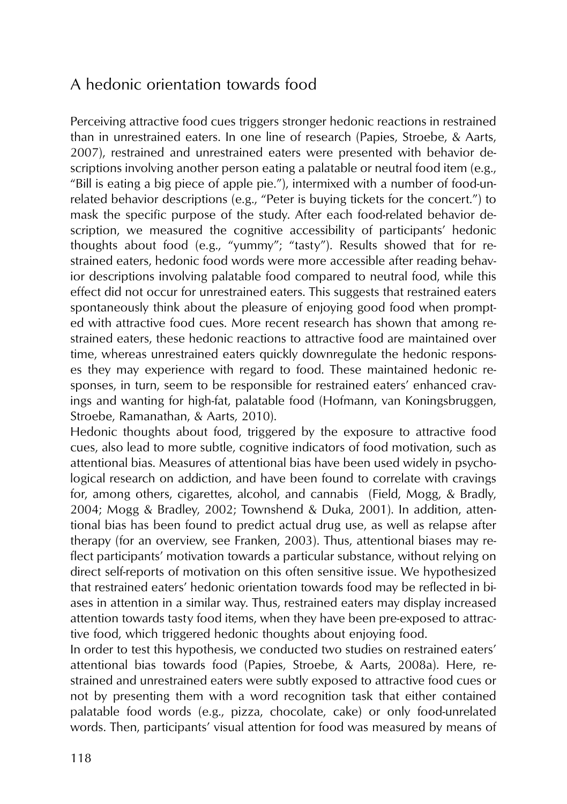## A hedonic orientation towards food

Perceiving attractive food cues triggers stronger hedonic reactions in restrained than in unrestrained eaters. In one line of research (Papies, Stroebe, & Aarts, 2007), restrained and unrestrained eaters were presented with behavior descriptions involving another person eating a palatable or neutral food item (e.g., "Bill is eating a big piece of apple pie."), intermixed with a number of food-unrelated behavior descriptions (e.g., "Peter is buying tickets for the concert.") to mask the specific purpose of the study. After each food-related behavior description, we measured the cognitive accessibility of participants' hedonic thoughts about food (e.g., "yummy"; "tasty"). Results showed that for restrained eaters, hedonic food words were more accessible after reading behavior descriptions involving palatable food compared to neutral food, while this effect did not occur for unrestrained eaters. This suggests that restrained eaters spontaneously think about the pleasure of enjoying good food when prompted with attractive food cues. More recent research has shown that among restrained eaters, these hedonic reactions to attractive food are maintained over time, whereas unrestrained eaters quickly downregulate the hedonic responses they may experience with regard to food. These maintained hedonic responses, in turn, seem to be responsible for restrained eaters' enhanced cravings and wanting for high-fat, palatable food (Hofmann, van Koningsbruggen, Stroebe, Ramanathan, & Aarts, 2010).

Hedonic thoughts about food, triggered by the exposure to attractive food cues, also lead to more subtle, cognitive indicators of food motivation, such as attentional bias. Measures of attentional bias have been used widely in psychological research on addiction, and have been found to correlate with cravings for, among others, cigarettes, alcohol, and cannabis (Field, Mogg, & Bradly, 2004; Mogg & Bradley, 2002; Townshend & Duka, 2001). In addition, attentional bias has been found to predict actual drug use, as well as relapse after therapy (for an overview, see Franken, 2003). Thus, attentional biases may reflect participants' motivation towards a particular substance, without relying on direct self-reports of motivation on this often sensitive issue. We hypothesized that restrained eaters' hedonic orientation towards food may be reflected in biases in attention in a similar way. Thus, restrained eaters may display increased attention towards tasty food items, when they have been pre-exposed to attractive food, which triggered hedonic thoughts about enjoying food.

In order to test this hypothesis, we conducted two studies on restrained eaters' attentional bias towards food (Papies, Stroebe, & Aarts, 2008a). Here, restrained and unrestrained eaters were subtly exposed to attractive food cues or not by presenting them with a word recognition task that either contained palatable food words (e.g., pizza, chocolate, cake) or only food-unrelated words. Then, participants' visual attention for food was measured by means of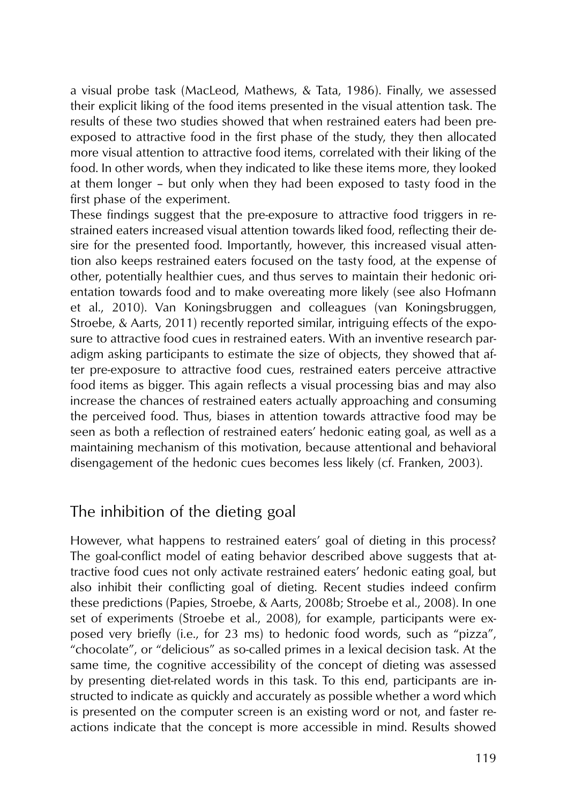a visual probe task (MacLeod, Mathews, & Tata, 1986). Finally, we assessed their explicit liking of the food items presented in the visual attention task. The results of these two studies showed that when restrained eaters had been preexposed to attractive food in the first phase of the study, they then allocated more visual attention to attractive food items, correlated with their liking of the food. In other words, when they indicated to like these items more, they looked at them longer – but only when they had been exposed to tasty food in the first phase of the experiment.

These findings suggest that the pre-exposure to attractive food triggers in restrained eaters increased visual attention towards liked food, reflecting their desire for the presented food. Importantly, however, this increased visual attention also keeps restrained eaters focused on the tasty food, at the expense of other, potentially healthier cues, and thus serves to maintain their hedonic orientation towards food and to make overeating more likely (see also Hofmann et al., 2010). Van Koningsbruggen and colleagues (van Koningsbruggen, Stroebe, & Aarts, 2011) recently reported similar, intriguing effects of the exposure to attractive food cues in restrained eaters. With an inventive research paradigm asking participants to estimate the size of objects, they showed that after pre-exposure to attractive food cues, restrained eaters perceive attractive food items as bigger. This again reflects a visual processing bias and may also increase the chances of restrained eaters actually approaching and consuming the perceived food. Thus, biases in attention towards attractive food may be seen as both a reflection of restrained eaters' hedonic eating goal, as well as a maintaining mechanism of this motivation, because attentional and behavioral disengagement of the hedonic cues becomes less likely (cf. Franken, 2003).

## The inhibition of the dieting goal

However, what happens to restrained eaters' goal of dieting in this process? The goal-conflict model of eating behavior described above suggests that attractive food cues not only activate restrained eaters' hedonic eating goal, but also inhibit their conflicting goal of dieting. Recent studies indeed confirm these predictions (Papies, Stroebe, & Aarts, 2008b; Stroebe et al., 2008). In one set of experiments (Stroebe et al., 2008), for example, participants were exposed very briefly (i.e., for 23 ms) to hedonic food words, such as "pizza", "chocolate", or "delicious" as so-called primes in a lexical decision task. At the same time, the cognitive accessibility of the concept of dieting was assessed by presenting diet-related words in this task. To this end, participants are instructed to indicate as quickly and accurately as possible whether a word which is presented on the computer screen is an existing word or not, and faster reactions indicate that the concept is more accessible in mind. Results showed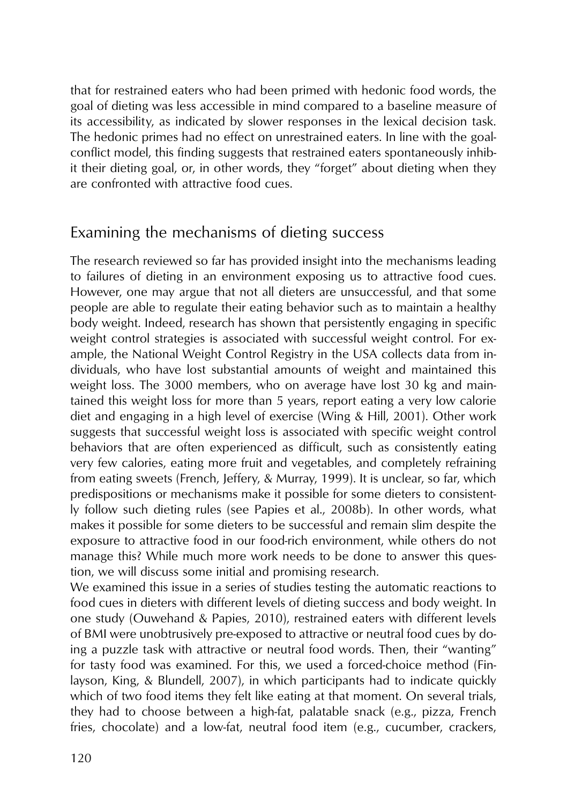that for restrained eaters who had been primed with hedonic food words, the goal of dieting was less accessible in mind compared to a baseline measure of its accessibility, as indicated by slower responses in the lexical decision task. The hedonic primes had no effect on unrestrained eaters. In line with the goalconflict model, this finding suggests that restrained eaters spontaneously inhibit their dieting goal, or, in other words, they "forget" about dieting when they are confronted with attractive food cues.

#### Examining the mechanisms of dieting success

The research reviewed so far has provided insight into the mechanisms leading to failures of dieting in an environment exposing us to attractive food cues. However, one may argue that not all dieters are unsuccessful, and that some people are able to regulate their eating behavior such as to maintain a healthy body weight. Indeed, research has shown that persistently engaging in specific weight control strategies is associated with successful weight control. For example, the National Weight Control Registry in the USA collects data from individuals, who have lost substantial amounts of weight and maintained this weight loss. The 3000 members, who on average have lost 30 kg and maintained this weight loss for more than 5 years, report eating a very low calorie diet and engaging in a high level of exercise (Wing & Hill, 2001). Other work suggests that successful weight loss is associated with specific weight control behaviors that are often experienced as difficult, such as consistently eating very few calories, eating more fruit and vegetables, and completely refraining from eating sweets (French, Jeffery, & Murray, 1999). It is unclear, so far, which predispositions or mechanisms make it possible for some dieters to consistently follow such dieting rules (see Papies et al., 2008b). In other words, what makes it possible for some dieters to be successful and remain slim despite the exposure to attractive food in our food-rich environment, while others do not manage this? While much more work needs to be done to answer this question, we will discuss some initial and promising research.

We examined this issue in a series of studies testing the automatic reactions to food cues in dieters with different levels of dieting success and body weight. In one study (Ouwehand & Papies, 2010), restrained eaters with different levels of BMI were unobtrusively pre-exposed to attractive or neutral food cues by doing a puzzle task with attractive or neutral food words. Then, their "wanting" for tasty food was examined. For this, we used a forced-choice method (Finlayson, King, & Blundell, 2007), in which participants had to indicate quickly which of two food items they felt like eating at that moment. On several trials, they had to choose between a high-fat, palatable snack (e.g., pizza, French fries, chocolate) and a low-fat, neutral food item (e.g., cucumber, crackers,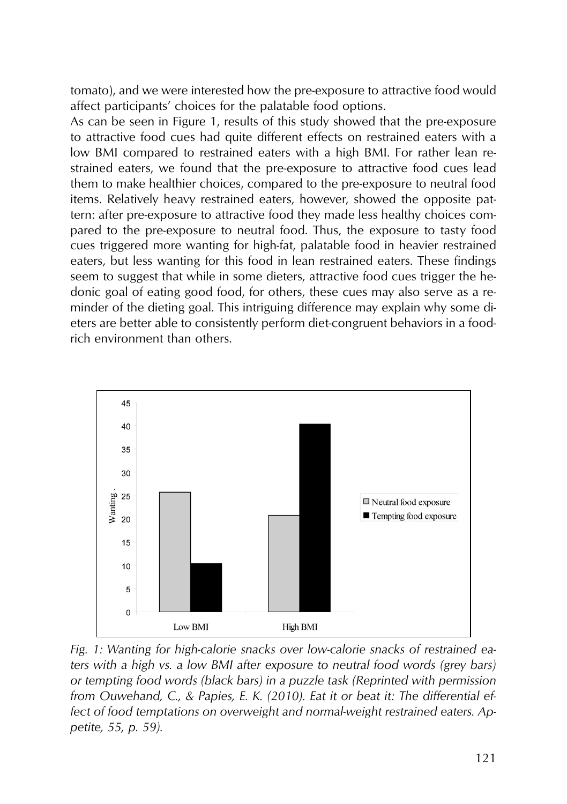tomato), and we were interested how the pre-exposure to attractive food would affect participants' choices for the palatable food options.

As can be seen in Figure 1, results of this study showed that the pre-exposure to attractive food cues had quite different effects on restrained eaters with a low BMI compared to restrained eaters with a high BMI. For rather lean restrained eaters, we found that the pre-exposure to attractive food cues lead them to make healthier choices, compared to the pre-exposure to neutral food items. Relatively heavy restrained eaters, however, showed the opposite pattern: after pre-exposure to attractive food they made less healthy choices compared to the pre-exposure to neutral food. Thus, the exposure to tasty food cues triggered more wanting for high-fat, palatable food in heavier restrained eaters, but less wanting for this food in lean restrained eaters. These findings seem to suggest that while in some dieters, attractive food cues trigger the hedonic goal of eating good food, for others, these cues may also serve as a reminder of the dieting goal. This intriguing difference may explain why some dieters are better able to consistently perform diet-congruent behaviors in a foodrich environment than others.



*Fig. 1: Wanting for high-calorie snacks over low-calorie snacks of restrained eaters with a high vs. a low BMI after exposure to neutral food words (grey bars) or tempting food words (black bars) in a puzzle task (Reprinted with permission from Ouwehand, C., & Papies, E. K. (2010). Eat it or beat it: The differential effect of food temptations on overweight and normal-weight restrained eaters. Appetite, 55, p. 59).*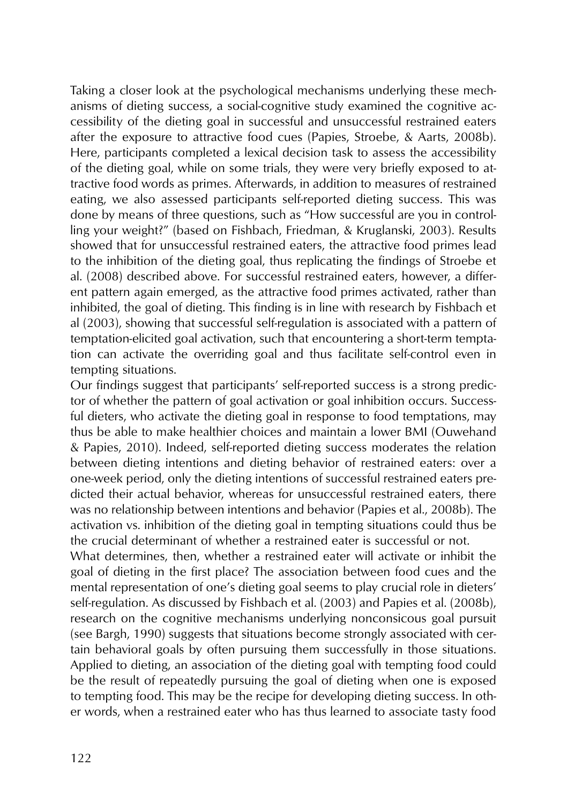Taking a closer look at the psychological mechanisms underlying these mechanisms of dieting success, a social-cognitive study examined the cognitive accessibility of the dieting goal in successful and unsuccessful restrained eaters after the exposure to attractive food cues (Papies, Stroebe, & Aarts, 2008b). Here, participants completed a lexical decision task to assess the accessibility of the dieting goal, while on some trials, they were very briefly exposed to attractive food words as primes. Afterwards, in addition to measures of restrained eating, we also assessed participants self-reported dieting success. This was done by means of three questions, such as "How successful are you in controlling your weight?" (based on Fishbach, Friedman, & Kruglanski, 2003). Results showed that for unsuccessful restrained eaters, the attractive food primes lead to the inhibition of the dieting goal, thus replicating the findings of Stroebe et al. (2008) described above. For successful restrained eaters, however, a different pattern again emerged, as the attractive food primes activated, rather than inhibited, the goal of dieting. This finding is in line with research by Fishbach et al (2003), showing that successful self-regulation is associated with a pattern of temptation-elicited goal activation, such that encountering a short-term temptation can activate the overriding goal and thus facilitate self-control even in tempting situations.

Our findings suggest that participants' self-reported success is a strong predictor of whether the pattern of goal activation or goal inhibition occurs. Successful dieters, who activate the dieting goal in response to food temptations, may thus be able to make healthier choices and maintain a lower BMI (Ouwehand & Papies, 2010). Indeed, self-reported dieting success moderates the relation between dieting intentions and dieting behavior of restrained eaters: over a one-week period, only the dieting intentions of successful restrained eaters predicted their actual behavior, whereas for unsuccessful restrained eaters, there was no relationship between intentions and behavior (Papies et al., 2008b). The activation vs. inhibition of the dieting goal in tempting situations could thus be the crucial determinant of whether a restrained eater is successful or not.

What determines, then, whether a restrained eater will activate or inhibit the goal of dieting in the first place? The association between food cues and the mental representation of one's dieting goal seems to play crucial role in dieters' self-regulation. As discussed by Fishbach et al. (2003) and Papies et al. (2008b), research on the cognitive mechanisms underlying nonconsicous goal pursuit (see Bargh, 1990) suggests that situations become strongly associated with certain behavioral goals by often pursuing them successfully in those situations. Applied to dieting, an association of the dieting goal with tempting food could be the result of repeatedly pursuing the goal of dieting when one is exposed to tempting food. This may be the recipe for developing dieting success. In other words, when a restrained eater who has thus learned to associate tasty food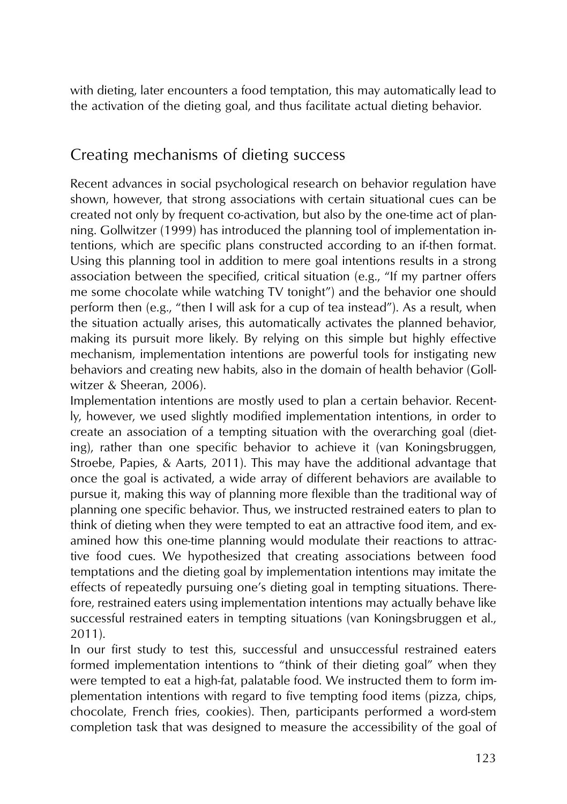with dieting, later encounters a food temptation, this may automatically lead to the activation of the dieting goal, and thus facilitate actual dieting behavior.

# Creating mechanisms of dieting success

Recent advances in social psychological research on behavior regulation have shown, however, that strong associations with certain situational cues can be created not only by frequent co-activation, but also by the one-time act of planning. Gollwitzer (1999) has introduced the planning tool of implementation intentions, which are specific plans constructed according to an if-then format. Using this planning tool in addition to mere goal intentions results in a strong association between the specified, critical situation (e.g., "If my partner offers me some chocolate while watching TV tonight") and the behavior one should perform then (e.g., "then I will ask for a cup of tea instead"). As a result, when the situation actually arises, this automatically activates the planned behavior, making its pursuit more likely. By relying on this simple but highly effective mechanism, implementation intentions are powerful tools for instigating new behaviors and creating new habits, also in the domain of health behavior (Gollwitzer & Sheeran, 2006).

Implementation intentions are mostly used to plan a certain behavior. Recently, however, we used slightly modified implementation intentions, in order to create an association of a tempting situation with the overarching goal (dieting), rather than one specific behavior to achieve it (van Koningsbruggen, Stroebe, Papies, & Aarts, 2011). This may have the additional advantage that once the goal is activated, a wide array of different behaviors are available to pursue it, making this way of planning more flexible than the traditional way of planning one specific behavior. Thus, we instructed restrained eaters to plan to think of dieting when they were tempted to eat an attractive food item, and examined how this one-time planning would modulate their reactions to attractive food cues. We hypothesized that creating associations between food temptations and the dieting goal by implementation intentions may imitate the effects of repeatedly pursuing one's dieting goal in tempting situations. Therefore, restrained eaters using implementation intentions may actually behave like successful restrained eaters in tempting situations (van Koningsbruggen et al., 2011).

In our first study to test this, successful and unsuccessful restrained eaters formed implementation intentions to "think of their dieting goal" when they were tempted to eat a high-fat, palatable food. We instructed them to form implementation intentions with regard to five tempting food items (pizza, chips, chocolate, French fries, cookies). Then, participants performed a word-stem completion task that was designed to measure the accessibility of the goal of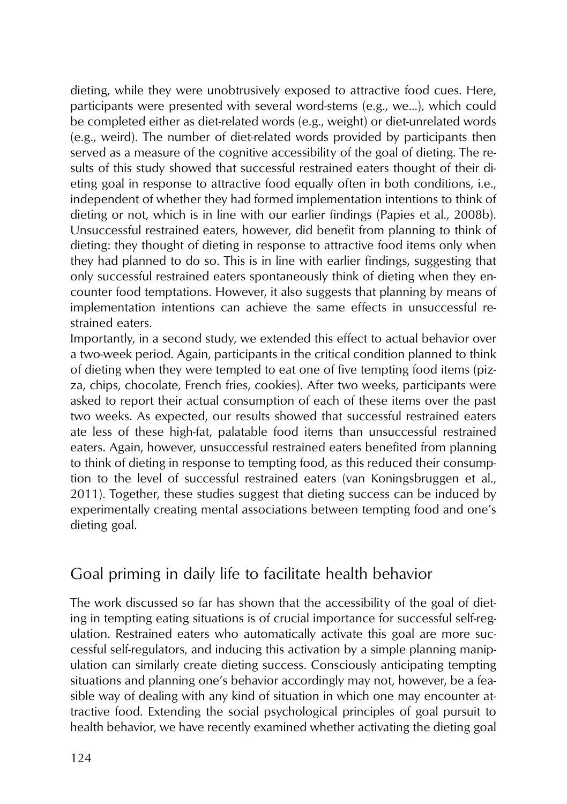dieting, while they were unobtrusively exposed to attractive food cues. Here, participants were presented with several word-stems (e.g., we...), which could be completed either as diet-related words (e.g., weight) or diet-unrelated words (e.g., weird). The number of diet-related words provided by participants then served as a measure of the cognitive accessibility of the goal of dieting. The results of this study showed that successful restrained eaters thought of their dieting goal in response to attractive food equally often in both conditions, i.e., independent of whether they had formed implementation intentions to think of dieting or not, which is in line with our earlier findings (Papies et al., 2008b). Unsuccessful restrained eaters, however, did benefit from planning to think of dieting: they thought of dieting in response to attractive food items only when they had planned to do so. This is in line with earlier findings, suggesting that only successful restrained eaters spontaneously think of dieting when they encounter food temptations. However, it also suggests that planning by means of implementation intentions can achieve the same effects in unsuccessful restrained eaters.

Importantly, in a second study, we extended this effect to actual behavior over a two-week period. Again, participants in the critical condition planned to think of dieting when they were tempted to eat one of five tempting food items (pizza, chips, chocolate, French fries, cookies). After two weeks, participants were asked to report their actual consumption of each of these items over the past two weeks. As expected, our results showed that successful restrained eaters ate less of these high-fat, palatable food items than unsuccessful restrained eaters. Again, however, unsuccessful restrained eaters benefited from planning to think of dieting in response to tempting food, as this reduced their consumption to the level of successful restrained eaters (van Koningsbruggen et al., 2011). Together, these studies suggest that dieting success can be induced by experimentally creating mental associations between tempting food and one's dieting goal.

## Goal priming in daily life to facilitate health behavior

The work discussed so far has shown that the accessibility of the goal of dieting in tempting eating situations is of crucial importance for successful self-regulation. Restrained eaters who automatically activate this goal are more successful self-regulators, and inducing this activation by a simple planning manipulation can similarly create dieting success. Consciously anticipating tempting situations and planning one's behavior accordingly may not, however, be a feasible way of dealing with any kind of situation in which one may encounter attractive food. Extending the social psychological principles of goal pursuit to health behavior, we have recently examined whether activating the dieting goal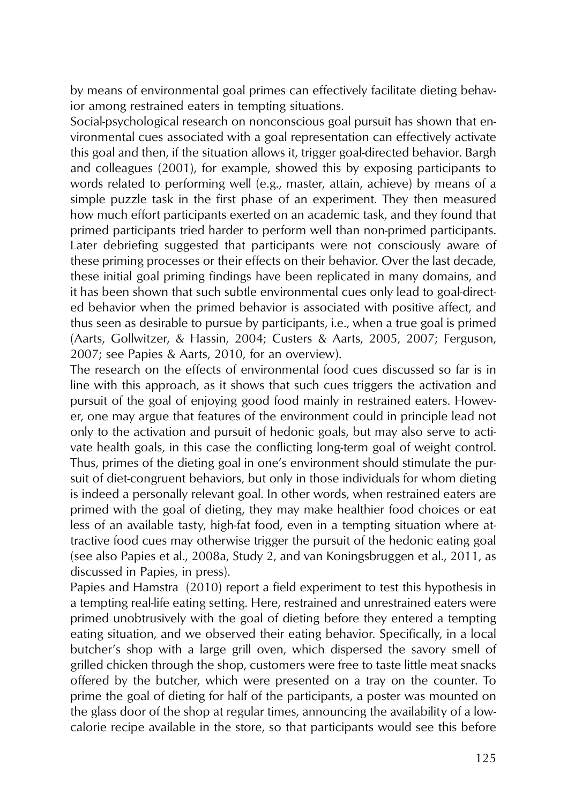by means of environmental goal primes can effectively facilitate dieting behavior among restrained eaters in tempting situations.

Social-psychological research on nonconscious goal pursuit has shown that environmental cues associated with a goal representation can effectively activate this goal and then, if the situation allows it, trigger goal-directed behavior. Bargh and colleagues (2001), for example, showed this by exposing participants to words related to performing well (e.g., master, attain, achieve) by means of a simple puzzle task in the first phase of an experiment. They then measured how much effort participants exerted on an academic task, and they found that primed participants tried harder to perform well than non-primed participants. Later debriefing suggested that participants were not consciously aware of these priming processes or their effects on their behavior. Over the last decade, these initial goal priming findings have been replicated in many domains, and it has been shown that such subtle environmental cues only lead to goal-directed behavior when the primed behavior is associated with positive affect, and thus seen as desirable to pursue by participants, i.e., when a true goal is primed (Aarts, Gollwitzer, & Hassin, 2004; Custers & Aarts, 2005, 2007; Ferguson, 2007; see Papies & Aarts, 2010, for an overview).

The research on the effects of environmental food cues discussed so far is in line with this approach, as it shows that such cues triggers the activation and pursuit of the goal of enjoying good food mainly in restrained eaters. However, one may argue that features of the environment could in principle lead not only to the activation and pursuit of hedonic goals, but may also serve to activate health goals, in this case the conflicting long-term goal of weight control. Thus, primes of the dieting goal in one's environment should stimulate the pursuit of diet-congruent behaviors, but only in those individuals for whom dieting is indeed a personally relevant goal. In other words, when restrained eaters are primed with the goal of dieting, they may make healthier food choices or eat less of an available tasty, high-fat food, even in a tempting situation where attractive food cues may otherwise trigger the pursuit of the hedonic eating goal (see also Papies et al., 2008a, Study 2, and van Koningsbruggen et al., 2011, as discussed in Papies, in press).

Papies and Hamstra (2010) report a field experiment to test this hypothesis in a tempting real-life eating setting. Here, restrained and unrestrained eaters were primed unobtrusively with the goal of dieting before they entered a tempting eating situation, and we observed their eating behavior. Specifically, in a local butcher's shop with a large grill oven, which dispersed the savory smell of grilled chicken through the shop, customers were free to taste little meat snacks offered by the butcher, which were presented on a tray on the counter. To prime the goal of dieting for half of the participants, a poster was mounted on the glass door of the shop at regular times, announcing the availability of a lowcalorie recipe available in the store, so that participants would see this before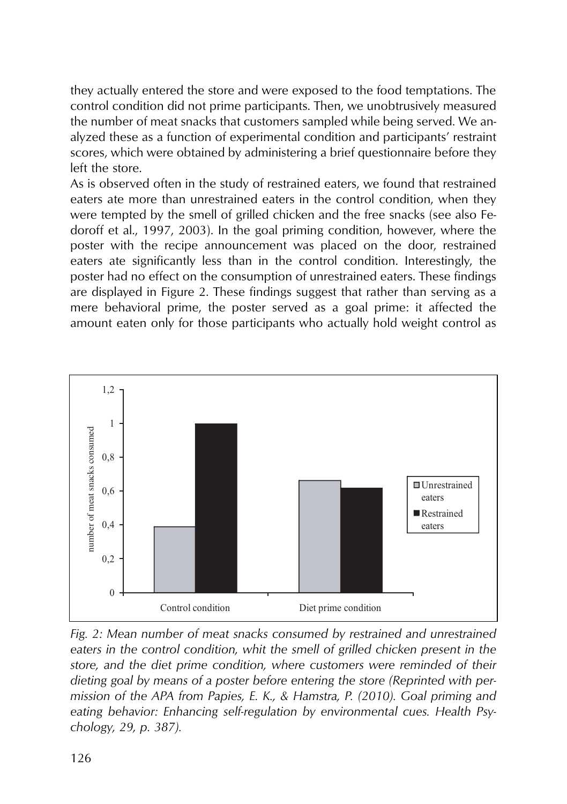they actually entered the store and were exposed to the food temptations. The control condition did not prime participants. Then, we unobtrusively measured the number of meat snacks that customers sampled while being served. We analyzed these as a function of experimental condition and participants' restraint scores, which were obtained by administering a brief questionnaire before they left the store.

As is observed often in the study of restrained eaters, we found that restrained eaters ate more than unrestrained eaters in the control condition, when they were tempted by the smell of grilled chicken and the free snacks (see also Fedoroff et al., 1997, 2003). In the goal priming condition, however, where the poster with the recipe announcement was placed on the door, restrained eaters ate significantly less than in the control condition. Interestingly, the poster had no effect on the consumption of unrestrained eaters. These findings are displayed in Figure 2. These findings suggest that rather than serving as a mere behavioral prime, the poster served as a goal prime: it affected the amount eaten only for those participants who actually hold weight control as



*Fig. 2: Mean number of meat snacks consumed by restrained and unrestrained eaters in the control condition, whit the smell of grilled chicken present in the store, and the diet prime condition, where customers were reminded of their dieting goal by means of a poster before entering the store (Reprinted with permission of the APA from Papies, E. K., & Hamstra, P. (2010). Goal priming and eating behavior: Enhancing self-regulation by environmental cues. Health Psychology, 29, p. 387).*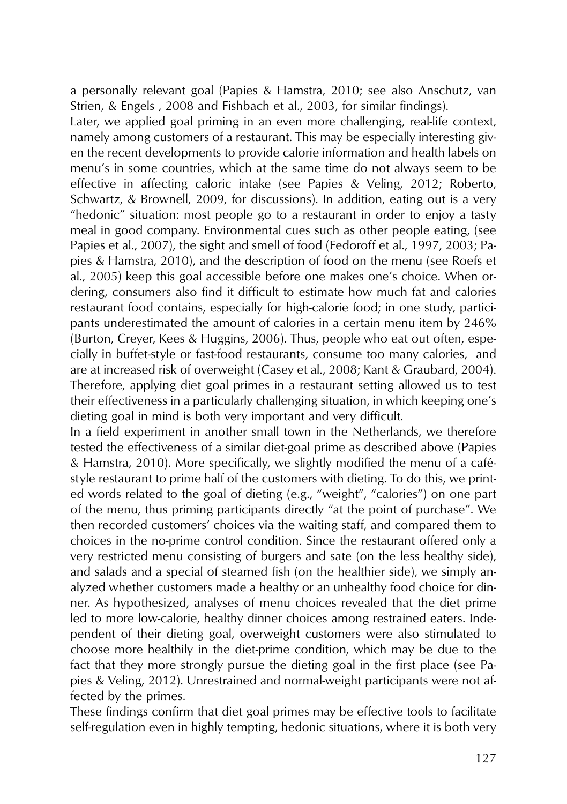a personally relevant goal (Papies & Hamstra, 2010; see also Anschutz, van Strien, & Engels , 2008 and Fishbach et al., 2003, for similar findings).

Later, we applied goal priming in an even more challenging, real-life context, namely among customers of a restaurant. This may be especially interesting given the recent developments to provide calorie information and health labels on menu's in some countries, which at the same time do not always seem to be effective in affecting caloric intake (see Papies & Veling, 2012; Roberto, Schwartz, & Brownell, 2009, for discussions). In addition, eating out is a very "hedonic" situation: most people go to a restaurant in order to enjoy a tasty meal in good company. Environmental cues such as other people eating, (see Papies et al., 2007), the sight and smell of food (Fedoroff et al., 1997, 2003; Papies & Hamstra, 2010), and the description of food on the menu (see Roefs et al., 2005) keep this goal accessible before one makes one's choice. When ordering, consumers also find it difficult to estimate how much fat and calories restaurant food contains, especially for high-calorie food; in one study, participants underestimated the amount of calories in a certain menu item by 246% (Burton, Creyer, Kees & Huggins, 2006). Thus, people who eat out often, especially in buffet-style or fast-food restaurants, consume too many calories, and are at increased risk of overweight (Casey et al., 2008; Kant & Graubard, 2004). Therefore, applying diet goal primes in a restaurant setting allowed us to test their effectiveness in a particularly challenging situation, in which keeping one's dieting goal in mind is both very important and very difficult.

In a field experiment in another small town in the Netherlands, we therefore tested the effectiveness of a similar diet-goal prime as described above (Papies & Hamstra, 2010). More specifically, we slightly modified the menu of a caféstyle restaurant to prime half of the customers with dieting. To do this, we printed words related to the goal of dieting (e.g., "weight", "calories") on one part of the menu, thus priming participants directly "at the point of purchase". We then recorded customers' choices via the waiting staff, and compared them to choices in the no-prime control condition. Since the restaurant offered only a very restricted menu consisting of burgers and sate (on the less healthy side), and salads and a special of steamed fish (on the healthier side), we simply analyzed whether customers made a healthy or an unhealthy food choice for dinner. As hypothesized, analyses of menu choices revealed that the diet prime led to more low-calorie, healthy dinner choices among restrained eaters. Independent of their dieting goal, overweight customers were also stimulated to choose more healthily in the diet-prime condition, which may be due to the fact that they more strongly pursue the dieting goal in the first place (see Papies & Veling, 2012). Unrestrained and normal-weight participants were not affected by the primes.

These findings confirm that diet goal primes may be effective tools to facilitate self-regulation even in highly tempting, hedonic situations, where it is both very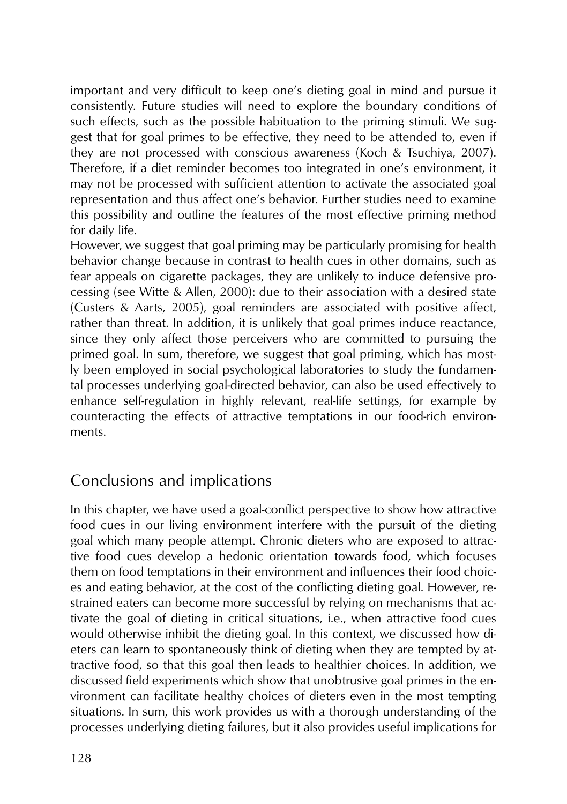important and very difficult to keep one's dieting goal in mind and pursue it consistently. Future studies will need to explore the boundary conditions of such effects, such as the possible habituation to the priming stimuli. We suggest that for goal primes to be effective, they need to be attended to, even if they are not processed with conscious awareness (Koch & Tsuchiya, 2007). Therefore, if a diet reminder becomes too integrated in one's environment, it may not be processed with sufficient attention to activate the associated goal representation and thus affect one's behavior. Further studies need to examine this possibility and outline the features of the most effective priming method for daily life.

However, we suggest that goal priming may be particularly promising for health behavior change because in contrast to health cues in other domains, such as fear appeals on cigarette packages, they are unlikely to induce defensive processing (see Witte & Allen, 2000): due to their association with a desired state (Custers & Aarts, 2005), goal reminders are associated with positive affect, rather than threat. In addition, it is unlikely that goal primes induce reactance, since they only affect those perceivers who are committed to pursuing the primed goal. In sum, therefore, we suggest that goal priming, which has mostly been employed in social psychological laboratories to study the fundamental processes underlying goal-directed behavior, can also be used effectively to enhance self-regulation in highly relevant, real-life settings, for example by counteracting the effects of attractive temptations in our food-rich environments.

## Conclusions and implications

In this chapter, we have used a goal-conflict perspective to show how attractive food cues in our living environment interfere with the pursuit of the dieting goal which many people attempt. Chronic dieters who are exposed to attractive food cues develop a hedonic orientation towards food, which focuses them on food temptations in their environment and influences their food choices and eating behavior, at the cost of the conflicting dieting goal. However, restrained eaters can become more successful by relying on mechanisms that activate the goal of dieting in critical situations, i.e., when attractive food cues would otherwise inhibit the dieting goal. In this context, we discussed how dieters can learn to spontaneously think of dieting when they are tempted by attractive food, so that this goal then leads to healthier choices. In addition, we discussed field experiments which show that unobtrusive goal primes in the environment can facilitate healthy choices of dieters even in the most tempting situations. In sum, this work provides us with a thorough understanding of the processes underlying dieting failures, but it also provides useful implications for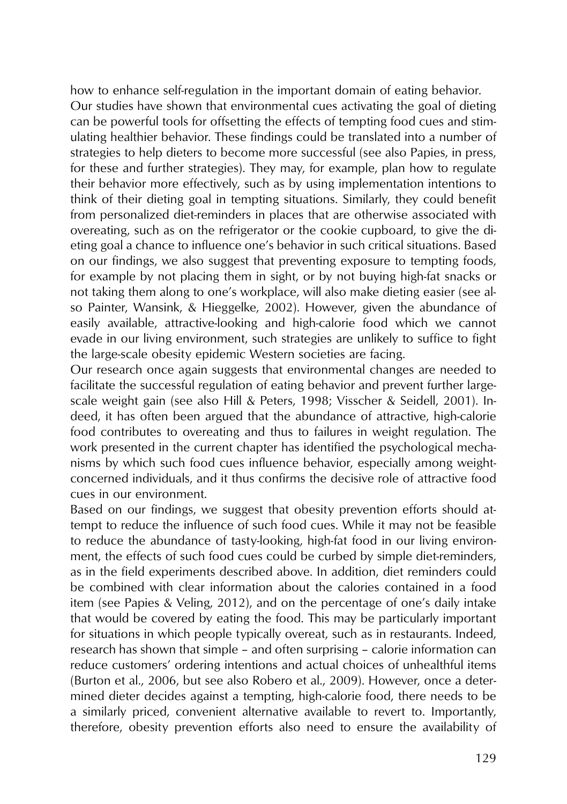how to enhance self-regulation in the important domain of eating behavior. Our studies have shown that environmental cues activating the goal of dieting can be powerful tools for offsetting the effects of tempting food cues and stimulating healthier behavior. These findings could be translated into a number of strategies to help dieters to become more successful (see also Papies, in press, for these and further strategies). They may, for example, plan how to regulate their behavior more effectively, such as by using implementation intentions to think of their dieting goal in tempting situations. Similarly, they could benefit from personalized diet-reminders in places that are otherwise associated with overeating, such as on the refrigerator or the cookie cupboard, to give the dieting goal a chance to influence one's behavior in such critical situations. Based on our findings, we also suggest that preventing exposure to tempting foods, for example by not placing them in sight, or by not buying high-fat snacks or not taking them along to one's workplace, will also make dieting easier (see also Painter, Wansink, & Hieggelke, 2002). However, given the abundance of easily available, attractive-looking and high-calorie food which we cannot evade in our living environment, such strategies are unlikely to suffice to fight the large-scale obesity epidemic Western societies are facing.

Our research once again suggests that environmental changes are needed to facilitate the successful regulation of eating behavior and prevent further largescale weight gain (see also Hill & Peters, 1998; Visscher & Seidell, 2001). Indeed, it has often been argued that the abundance of attractive, high-calorie food contributes to overeating and thus to failures in weight regulation. The work presented in the current chapter has identified the psychological mechanisms by which such food cues influence behavior, especially among weightconcerned individuals, and it thus confirms the decisive role of attractive food cues in our environment.

Based on our findings, we suggest that obesity prevention efforts should attempt to reduce the influence of such food cues. While it may not be feasible to reduce the abundance of tasty-looking, high-fat food in our living environment, the effects of such food cues could be curbed by simple diet-reminders, as in the field experiments described above. In addition, diet reminders could be combined with clear information about the calories contained in a food item (see Papies & Veling, 2012), and on the percentage of one's daily intake that would be covered by eating the food. This may be particularly important for situations in which people typically overeat, such as in restaurants. Indeed, research has shown that simple – and often surprising – calorie information can reduce customers' ordering intentions and actual choices of unhealthful items (Burton et al., 2006, but see also Robero et al., 2009). However, once a determined dieter decides against a tempting, high-calorie food, there needs to be a similarly priced, convenient alternative available to revert to. Importantly, therefore, obesity prevention efforts also need to ensure the availability of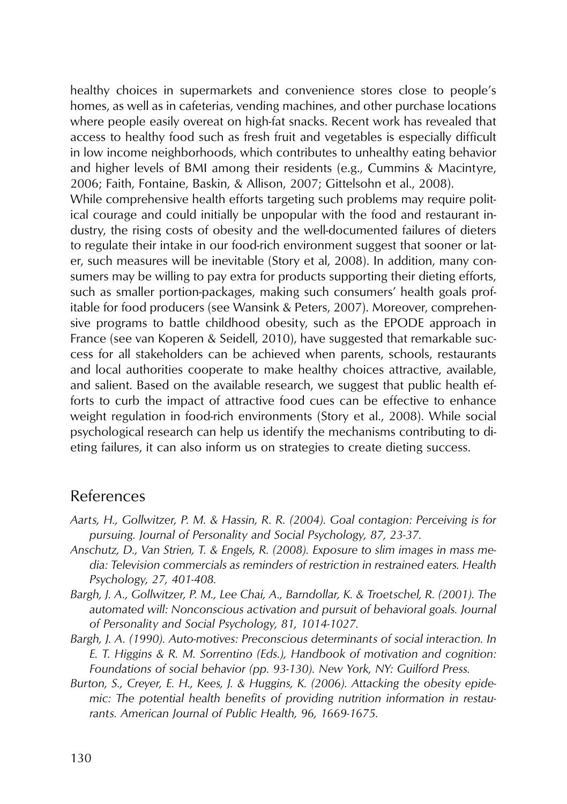healthy choices in supermarkets and convenience stores close to people's homes, as well as in cafeterias, vending machines, and other purchase locations where people easily overeat on high-fat snacks. Recent work has revealed that access to healthy food such as fresh fruit and vegetables is especially difficult in low income neighborhoods, which contributes to unhealthy eating behavior and higher levels of BMI among their residents (e.g., Cummins & Macintyre, 2006; Faith, Fontaine, Baskin, & Allison, 2007; Gittelsohn et al., 2008).

While comprehensive health efforts targeting such problems may require political courage and could initially be unpopular with the food and restaurant industry, the rising costs of obesity and the well-documented failures of dieters to regulate their intake in our food-rich environment suggest that sooner or later, such measures will be inevitable (Story et al, 2008). In addition, many consumers may be willing to pay extra for products supporting their dieting efforts, such as smaller portion-packages, making such consumers' health goals profitable for food producers (see Wansink & Peters, 2007). Moreover, comprehensive programs to battle childhood obesity, such as the EPODE approach in France (see van Koperen & Seidell, 2010), have suggested that remarkable success for all stakeholders can be achieved when parents, schools, restaurants and local authorities cooperate to make healthy choices attractive, available, and salient. Based on the available research, we suggest that public health efforts to curb the impact of attractive food cues can be effective to enhance weight regulation in food-rich environments (Story et al., 2008). While social psychological research can help us identify the mechanisms contributing to dieting failures, it can also inform us on strategies to create dieting success.

#### References

- *Aarts, H., Gollwitzer, P. M. & Hassin, R. R. (2004). Goal contagion: Perceiving is for pursuing. Journal of Personality and Social Psychology, 87, 23-37.*
- *Anschutz, D., Van Strien, T. & Engels, R. (2008). Exposure to slim images in mass media: Television commercials as reminders of restriction in restrained eaters. Health Psychology, 27, 401-408.*
- *Bargh, J. A., Gollwitzer, P. M., Lee Chai, A., Barndollar, K. & Troetschel, R. (2001). The automated will: Nonconscious activation and pursuit of behavioral goals. Journal of Personality and Social Psychology, 81, 1014-1027.*
- *Bargh, J. A. (1990). Auto-motives: Preconscious determinants of social interaction. In E. T. Higgins & R. M. Sorrentino (Eds.), Handbook of motivation and cognition: Foundations of social behavior (pp. 93-130). New York, NY: Guilford Press.*
- *Burton, S., Creyer, E. H., Kees, J. & Huggins, K. (2006). Attacking the obesity epidemic: The potential health benefits of providing nutrition information in restaurants. American Journal of Public Health, 96, 1669-1675.*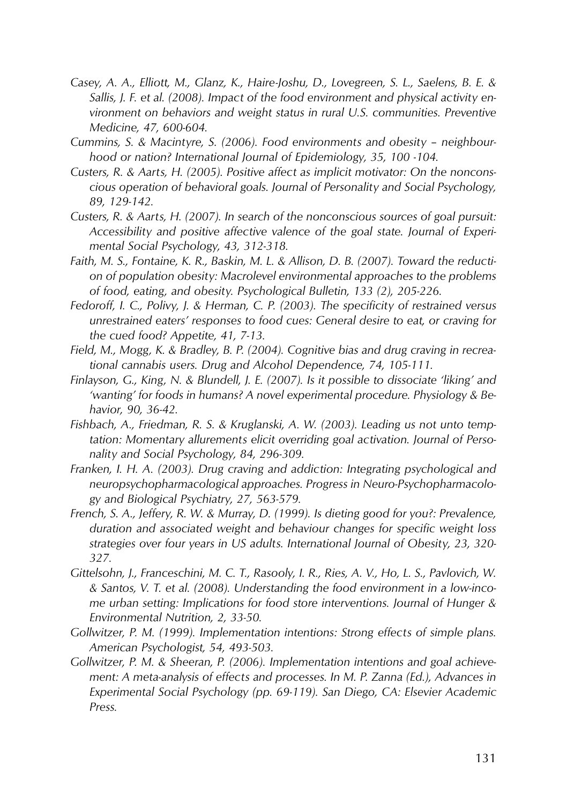- *Casey, A. A., Elliott, M., Glanz, K., Haire-Joshu, D., Lovegreen, S. L., Saelens, B. E. & Sallis, J. F. et al. (2008). Impact of the food environment and physical activity environment on behaviors and weight status in rural U.S. communities. Preventive Medicine, 47, 600-604.*
- *Cummins, S. & Macintyre, S. (2006). Food environments and obesity neighbourhood or nation? International Journal of Epidemiology, 35, 100 -104.*
- *Custers, R. & Aarts, H. (2005). Positive affect as implicit motivator: On the nonconscious operation of behavioral goals. Journal of Personality and Social Psychology, 89, 129-142.*
- *Custers, R. & Aarts, H. (2007). In search of the nonconscious sources of goal pursuit: Accessibility and positive affective valence of the goal state. Journal of Experimental Social Psychology, 43, 312-318.*
- *Faith, M. S., Fontaine, K. R., Baskin, M. L. & Allison, D. B. (2007). Toward the reduction of population obesity: Macrolevel environmental approaches to the problems of food, eating, and obesity. Psychological Bulletin, 133 (2), 205-226.*
- *Fedoroff, I. C., Polivy, J. & Herman, C. P. (2003). The specificity of restrained versus unrestrained eaters' responses to food cues: General desire to eat, or craving for the cued food? Appetite, 41, 7-13.*
- *Field, M., Mogg, K. & Bradley, B. P. (2004). Cognitive bias and drug craving in recreational cannabis users. Drug and Alcohol Dependence, 74, 105-111.*
- *Finlayson, G., King, N. & Blundell, J. E. (2007). Is it possible to dissociate 'liking' and 'wanting' for foods in humans? A novel experimental procedure. Physiology & Behavior, 90, 36-42.*
- *Fishbach, A., Friedman, R. S. & Kruglanski, A. W. (2003). Leading us not unto temptation: Momentary allurements elicit overriding goal activation. Journal of Personality and Social Psychology, 84, 296-309.*
- *Franken, I. H. A. (2003). Drug craving and addiction: Integrating psychological and neuropsychopharmacological approaches. Progress in Neuro-Psychopharmacology and Biological Psychiatry, 27, 563-579.*
- *French, S. A., Jeffery, R. W. & Murray, D. (1999). Is dieting good for you?: Prevalence, duration and associated weight and behaviour changes for specific weight loss strategies over four years in US adults. International Journal of Obesity, 23, 320- 327.*
- *Gittelsohn, J., Franceschini, M. C. T., Rasooly, I. R., Ries, A. V., Ho, L. S., Pavlovich, W. & Santos, V. T. et al. (2008). Understanding the food environment in a low-income urban setting: Implications for food store interventions. Journal of Hunger & Environmental Nutrition, 2, 33-50.*
- *Gollwitzer, P. M. (1999). Implementation intentions: Strong effects of simple plans. American Psychologist, 54, 493-503.*
- *Gollwitzer, P. M. & Sheeran, P. (2006). Implementation intentions and goal achievement: A meta-analysis of effects and processes. In M. P. Zanna (Ed.), Advances in Experimental Social Psychology (pp. 69-119). San Diego, CA: Elsevier Academic Press.*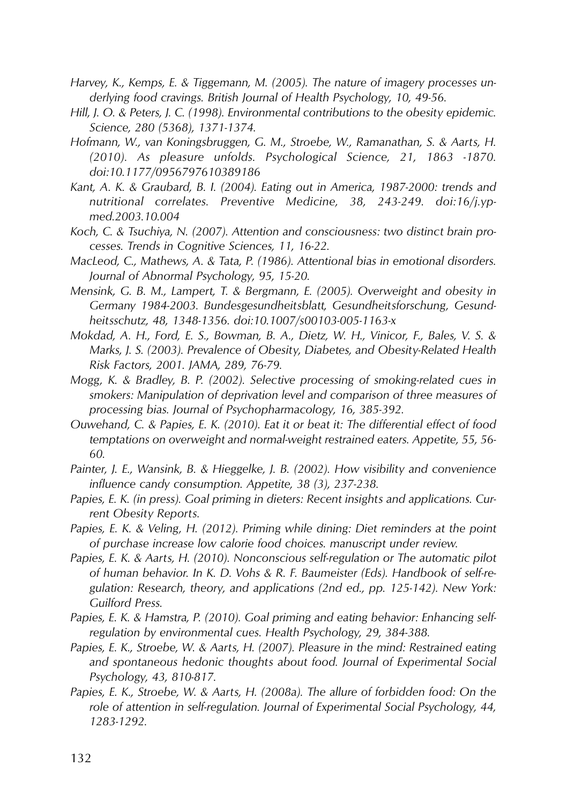- *Harvey, K., Kemps, E. & Tiggemann, M. (2005). The nature of imagery processes underlying food cravings. British Journal of Health Psychology, 10, 49-56.*
- *Hill, J. O. & Peters, J. C. (1998). Environmental contributions to the obesity epidemic. Science, 280 (5368), 1371-1374.*
- *Hofmann, W., van Koningsbruggen, G. M., Stroebe, W., Ramanathan, S. & Aarts, H. (2010). As pleasure unfolds. Psychological Science, 21, 1863 -1870. doi:10.1177/0956797610389186*
- *Kant, A. K. & Graubard, B. I. (2004). Eating out in America, 1987-2000: trends and nutritional correlates. Preventive Medicine, 38, 243-249. doi:16/j.ypmed.2003.10.004*
- *Koch, C. & Tsuchiya, N. (2007). Attention and consciousness: two distinct brain processes. Trends in Cognitive Sciences, 11, 16-22.*
- *MacLeod, C., Mathews, A. & Tata, P. (1986). Attentional bias in emotional disorders. Journal of Abnormal Psychology, 95, 15-20.*
- *Mensink, G. B. M., Lampert, T. & Bergmann, E. (2005). Overweight and obesity in Germany 1984-2003. Bundesgesundheitsblatt, Gesundheitsforschung, Gesundheitsschutz, 48, 1348-1356. doi:10.1007/s00103-005-1163-x*
- *Mokdad, A. H., Ford, E. S., Bowman, B. A., Dietz, W. H., Vinicor, F., Bales, V. S. & Marks, J. S. (2003). Prevalence of Obesity, Diabetes, and Obesity-Related Health Risk Factors, 2001. JAMA, 289, 76-79.*
- *Mogg, K. & Bradley, B. P. (2002). Selective processing of smoking-related cues in smokers: Manipulation of deprivation level and comparison of three measures of processing bias. Journal of Psychopharmacology, 16, 385-392.*
- *Ouwehand, C. & Papies, E. K. (2010). Eat it or beat it: The differential effect of food temptations on overweight and normal-weight restrained eaters. Appetite, 55, 56- 60.*
- *Painter, J. E., Wansink, B. & Hieggelke, J. B. (2002). How visibility and convenience influence candy consumption. Appetite, 38 (3), 237-238.*
- *Papies, E. K. (in press). Goal priming in dieters: Recent insights and applications. Current Obesity Reports.*
- *Papies, E. K. & Veling, H. (2012). Priming while dining: Diet reminders at the point of purchase increase low calorie food choices. manuscript under review.*
- *Papies, E. K. & Aarts, H. (2010). Nonconscious self-regulation or The automatic pilot of human behavior. In K. D. Vohs & R. F. Baumeister (Eds). Handbook of self-regulation: Research, theory, and applications (2nd ed., pp. 125-142). New York: Guilford Press.*
- *Papies, E. K. & Hamstra, P. (2010). Goal priming and eating behavior: Enhancing selfregulation by environmental cues. Health Psychology, 29, 384-388.*
- *Papies, E. K., Stroebe, W. & Aarts, H. (2007). Pleasure in the mind: Restrained eating and spontaneous hedonic thoughts about food. Journal of Experimental Social Psychology, 43, 810-817.*
- *Papies, E. K., Stroebe, W. & Aarts, H. (2008a). The allure of forbidden food: On the role of attention in self-regulation. Journal of Experimental Social Psychology, 44, 1283-1292.*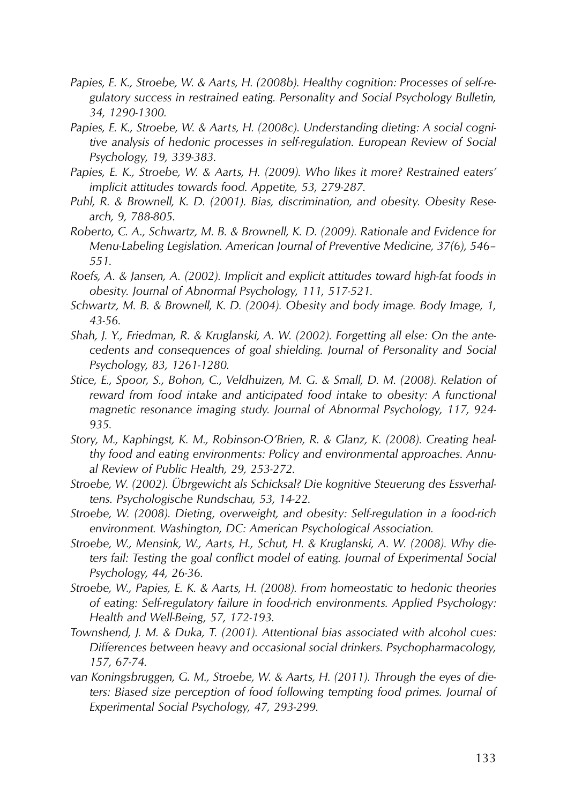- *Papies, E. K., Stroebe, W. & Aarts, H. (2008b). Healthy cognition: Processes of self-regulatory success in restrained eating. Personality and Social Psychology Bulletin, 34, 1290-1300.*
- *Papies, E. K., Stroebe, W. & Aarts, H. (2008c). Understanding dieting: A social cognitive analysis of hedonic processes in self-regulation. European Review of Social Psychology, 19, 339-383.*
- *Papies, E. K., Stroebe, W. & Aarts, H. (2009). Who likes it more? Restrained eaters' implicit attitudes towards food. Appetite, 53, 279-287.*
- *Puhl, R. & Brownell, K. D. (2001). Bias, discrimination, and obesity. Obesity Research, 9, 788-805.*
- *Roberto, C. A., Schwartz, M. B. & Brownell, K. D. (2009). Rationale and Evidence for Menu-Labeling Legislation. American Journal of Preventive Medicine, 37(6), 546– 551.*
- *Roefs, A. & Jansen, A. (2002). Implicit and explicit attitudes toward high-fat foods in obesity. Journal of Abnormal Psychology, 111, 517-521.*
- *Schwartz, M. B. & Brownell, K. D. (2004). Obesity and body image. Body Image, 1, 43-56.*
- *Shah, J. Y., Friedman, R. & Kruglanski, A. W. (2002). Forgetting all else: On the antecedents and consequences of goal shielding. Journal of Personality and Social Psychology, 83, 1261-1280.*
- *Stice, E., Spoor, S., Bohon, C., Veldhuizen, M. G. & Small, D. M. (2008). Relation of reward from food intake and anticipated food intake to obesity: A functional magnetic resonance imaging study. Journal of Abnormal Psychology, 117, 924- 935.*
- *Story, M., Kaphingst, K. M., Robinson-O'Brien, R. & Glanz, K. (2008). Creating healthy food and eating environments: Policy and environmental approaches. Annual Review of Public Health, 29, 253-272.*
- *Stroebe, W. (2002). Übrgewicht als Schicksal? Die kognitive Steuerung des Essverhaltens. Psychologische Rundschau, 53, 14-22.*
- *Stroebe, W. (2008). Dieting, overweight, and obesity: Self-regulation in a food-rich environment. Washington, DC: American Psychological Association.*
- *Stroebe, W., Mensink, W., Aarts, H., Schut, H. & Kruglanski, A. W. (2008). Why dieters fail: Testing the goal conflict model of eating. Journal of Experimental Social Psychology, 44, 26-36.*
- *Stroebe, W., Papies, E. K. & Aarts, H. (2008). From homeostatic to hedonic theories of eating: Self-regulatory failure in food-rich environments. Applied Psychology: Health and Well-Being, 57, 172-193.*
- *Townshend, J. M. & Duka, T. (2001). Attentional bias associated with alcohol cues: Differences between heavy and occasional social drinkers. Psychopharmacology, 157, 67-74.*
- *van Koningsbruggen, G. M., Stroebe, W. & Aarts, H. (2011). Through the eyes of dieters: Biased size perception of food following tempting food primes. Journal of Experimental Social Psychology, 47, 293-299.*